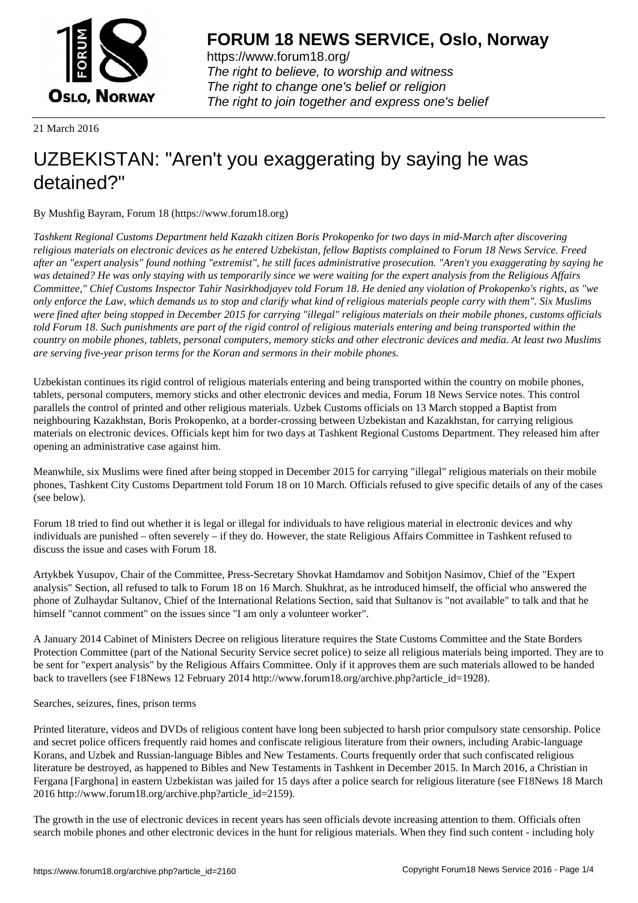

https://www.forum18.org/ The right to believe, to worship and witness The right to change one's belief or religion [The right to join together a](https://www.forum18.org/)nd express one's belief

21 March 2016

## [UZBEKISTAN:](https://www.forum18.org) "Aren't you exaggerating by saying he was detained?"

By Mushfig Bayram, Forum 18 (https://www.forum18.org)

*Tashkent Regional Customs Department held Kazakh citizen Boris Prokopenko for two days in mid-March after discovering religious materials on electronic devices as he entered Uzbekistan, fellow Baptists complained to Forum 18 News Service. Freed after an "expert analysis" found nothing "extremist", he still faces administrative prosecution. "Aren't you exaggerating by saying he was detained? He was only staying with us temporarily since we were waiting for the expert analysis from the Religious Affairs Committee," Chief Customs Inspector Tahir Nasirkhodjayev told Forum 18. He denied any violation of Prokopenko's rights, as "we only enforce the Law, which demands us to stop and clarify what kind of religious materials people carry with them". Six Muslims were fined after being stopped in December 2015 for carrying "illegal" religious materials on their mobile phones, customs officials told Forum 18. Such punishments are part of the rigid control of religious materials entering and being transported within the country on mobile phones, tablets, personal computers, memory sticks and other electronic devices and media. At least two Muslims are serving five-year prison terms for the Koran and sermons in their mobile phones.*

Uzbekistan continues its rigid control of religious materials entering and being transported within the country on mobile phones, tablets, personal computers, memory sticks and other electronic devices and media, Forum 18 News Service notes. This control parallels the control of printed and other religious materials. Uzbek Customs officials on 13 March stopped a Baptist from neighbouring Kazakhstan, Boris Prokopenko, at a border-crossing between Uzbekistan and Kazakhstan, for carrying religious materials on electronic devices. Officials kept him for two days at Tashkent Regional Customs Department. They released him after opening an administrative case against him.

Meanwhile, six Muslims were fined after being stopped in December 2015 for carrying "illegal" religious materials on their mobile phones, Tashkent City Customs Department told Forum 18 on 10 March. Officials refused to give specific details of any of the cases (see below).

Forum 18 tried to find out whether it is legal or illegal for individuals to have religious material in electronic devices and why individuals are punished – often severely – if they do. However, the state Religious Affairs Committee in Tashkent refused to discuss the issue and cases with Forum 18.

Artykbek Yusupov, Chair of the Committee, Press-Secretary Shovkat Hamdamov and Sobitjon Nasimov, Chief of the "Expert analysis" Section, all refused to talk to Forum 18 on 16 March. Shukhrat, as he introduced himself, the official who answered the phone of Zulhaydar Sultanov, Chief of the International Relations Section, said that Sultanov is "not available" to talk and that he himself "cannot comment" on the issues since "I am only a volunteer worker".

A January 2014 Cabinet of Ministers Decree on religious literature requires the State Customs Committee and the State Borders Protection Committee (part of the National Security Service secret police) to seize all religious materials being imported. They are to be sent for "expert analysis" by the Religious Affairs Committee. Only if it approves them are such materials allowed to be handed back to travellers (see F18News 12 February 2014 http://www.forum18.org/archive.php?article\_id=1928).

Searches, seizures, fines, prison terms

Printed literature, videos and DVDs of religious content have long been subjected to harsh prior compulsory state censorship. Police and secret police officers frequently raid homes and confiscate religious literature from their owners, including Arabic-language Korans, and Uzbek and Russian-language Bibles and New Testaments. Courts frequently order that such confiscated religious literature be destroyed, as happened to Bibles and New Testaments in Tashkent in December 2015. In March 2016, a Christian in Fergana [Farghona] in eastern Uzbekistan was jailed for 15 days after a police search for religious literature (see F18News 18 March 2016 http://www.forum18.org/archive.php?article\_id=2159).

The growth in the use of electronic devices in recent years has seen officials devote increasing attention to them. Officials often search mobile phones and other electronic devices in the hunt for religious materials. When they find such content - including holy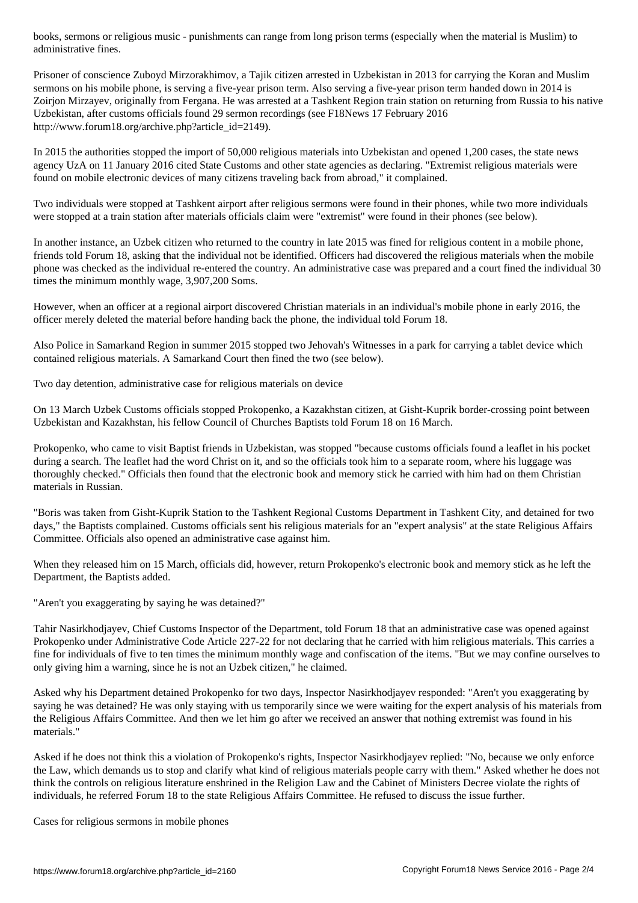Prisoner of conscience Zuboyd Mirzorakhimov, a Tajik citizen arrested in Uzbekistan in 2013 for carrying the Koran and Muslim sermons on his mobile phone, is serving a five-year prison term. Also serving a five-year prison term handed down in 2014 is Zoirjon Mirzayev, originally from Fergana. He was arrested at a Tashkent Region train station on returning from Russia to his native Uzbekistan, after customs officials found 29 sermon recordings (see F18News 17 February 2016 http://www.forum18.org/archive.php?article\_id=2149).

In 2015 the authorities stopped the import of 50,000 religious materials into Uzbekistan and opened 1,200 cases, the state news agency UzA on 11 January 2016 cited State Customs and other state agencies as declaring. "Extremist religious materials were found on mobile electronic devices of many citizens traveling back from abroad," it complained.

Two individuals were stopped at Tashkent airport after religious sermons were found in their phones, while two more individuals were stopped at a train station after materials officials claim were "extremist" were found in their phones (see below).

In another instance, an Uzbek citizen who returned to the country in late 2015 was fined for religious content in a mobile phone, friends told Forum 18, asking that the individual not be identified. Officers had discovered the religious materials when the mobile phone was checked as the individual re-entered the country. An administrative case was prepared and a court fined the individual 30 times the minimum monthly wage, 3,907,200 Soms.

However, when an officer at a regional airport discovered Christian materials in an individual's mobile phone in early 2016, the officer merely deleted the material before handing back the phone, the individual told Forum 18.

Also Police in Samarkand Region in summer 2015 stopped two Jehovah's Witnesses in a park for carrying a tablet device which contained religious materials. A Samarkand Court then fined the two (see below).

Two day detention, administrative case for religious materials on device

On 13 March Uzbek Customs officials stopped Prokopenko, a Kazakhstan citizen, at Gisht-Kuprik border-crossing point between Uzbekistan and Kazakhstan, his fellow Council of Churches Baptists told Forum 18 on 16 March.

Prokopenko, who came to visit Baptist friends in Uzbekistan, was stopped "because customs officials found a leaflet in his pocket during a search. The leaflet had the word Christ on it, and so the officials took him to a separate room, where his luggage was thoroughly checked." Officials then found that the electronic book and memory stick he carried with him had on them Christian materials in Russian.

"Boris was taken from Gisht-Kuprik Station to the Tashkent Regional Customs Department in Tashkent City, and detained for two days," the Baptists complained. Customs officials sent his religious materials for an "expert analysis" at the state Religious Affairs Committee. Officials also opened an administrative case against him.

When they released him on 15 March, officials did, however, return Prokopenko's electronic book and memory stick as he left the Department, the Baptists added.

"Aren't you exaggerating by saying he was detained?"

Tahir Nasirkhodjayev, Chief Customs Inspector of the Department, told Forum 18 that an administrative case was opened against Prokopenko under Administrative Code Article 227-22 for not declaring that he carried with him religious materials. This carries a fine for individuals of five to ten times the minimum monthly wage and confiscation of the items. "But we may confine ourselves to only giving him a warning, since he is not an Uzbek citizen," he claimed.

Asked why his Department detained Prokopenko for two days, Inspector Nasirkhodjayev responded: "Aren't you exaggerating by saying he was detained? He was only staying with us temporarily since we were waiting for the expert analysis of his materials from the Religious Affairs Committee. And then we let him go after we received an answer that nothing extremist was found in his materials."

Asked if he does not think this a violation of Prokopenko's rights, Inspector Nasirkhodjayev replied: "No, because we only enforce the Law, which demands us to stop and clarify what kind of religious materials people carry with them." Asked whether he does not think the controls on religious literature enshrined in the Religion Law and the Cabinet of Ministers Decree violate the rights of individuals, he referred Forum 18 to the state Religious Affairs Committee. He refused to discuss the issue further.

Cases for religious sermons in mobile phones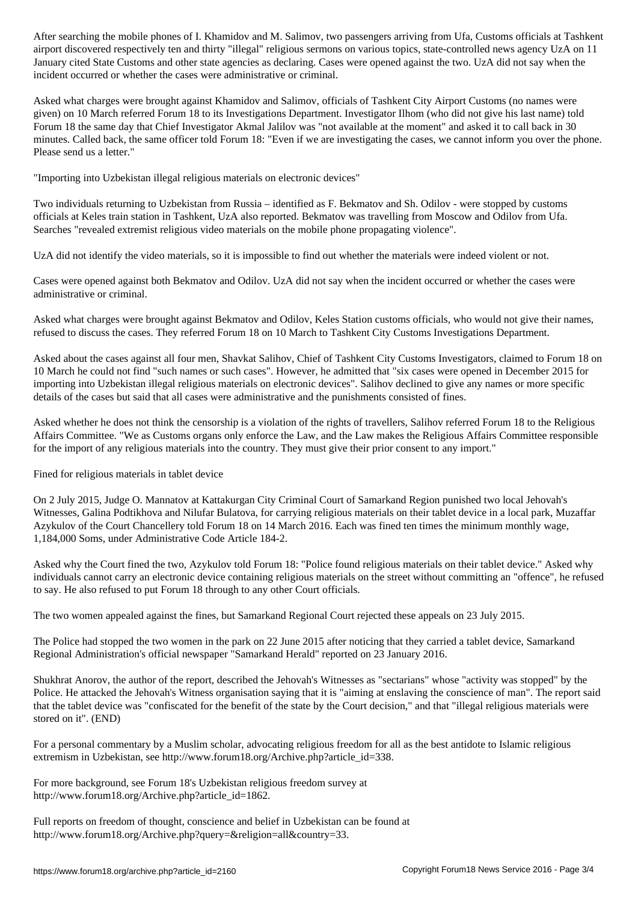airport discovered respectively ten and thirty "illegal" religious sermons on various topics, state-controlled news agency UzA on 11 January cited State Customs and other state agencies as declaring. Cases were opened against the two. UzA did not say when the incident occurred or whether the cases were administrative or criminal.

Asked what charges were brought against Khamidov and Salimov, officials of Tashkent City Airport Customs (no names were given) on 10 March referred Forum 18 to its Investigations Department. Investigator Ilhom (who did not give his last name) told Forum 18 the same day that Chief Investigator Akmal Jalilov was "not available at the moment" and asked it to call back in 30 minutes. Called back, the same officer told Forum 18: "Even if we are investigating the cases, we cannot inform you over the phone. Please send us a letter."

"Importing into Uzbekistan illegal religious materials on electronic devices"

Two individuals returning to Uzbekistan from Russia – identified as F. Bekmatov and Sh. Odilov - were stopped by customs officials at Keles train station in Tashkent, UzA also reported. Bekmatov was travelling from Moscow and Odilov from Ufa. Searches "revealed extremist religious video materials on the mobile phone propagating violence".

UzA did not identify the video materials, so it is impossible to find out whether the materials were indeed violent or not.

Cases were opened against both Bekmatov and Odilov. UzA did not say when the incident occurred or whether the cases were administrative or criminal.

Asked what charges were brought against Bekmatov and Odilov, Keles Station customs officials, who would not give their names, refused to discuss the cases. They referred Forum 18 on 10 March to Tashkent City Customs Investigations Department.

Asked about the cases against all four men, Shavkat Salihov, Chief of Tashkent City Customs Investigators, claimed to Forum 18 on 10 March he could not find "such names or such cases". However, he admitted that "six cases were opened in December 2015 for importing into Uzbekistan illegal religious materials on electronic devices". Salihov declined to give any names or more specific details of the cases but said that all cases were administrative and the punishments consisted of fines.

Asked whether he does not think the censorship is a violation of the rights of travellers, Salihov referred Forum 18 to the Religious Affairs Committee. "We as Customs organs only enforce the Law, and the Law makes the Religious Affairs Committee responsible for the import of any religious materials into the country. They must give their prior consent to any import."

Fined for religious materials in tablet device

On 2 July 2015, Judge O. Mannatov at Kattakurgan City Criminal Court of Samarkand Region punished two local Jehovah's Witnesses, Galina Podtikhova and Nilufar Bulatova, for carrying religious materials on their tablet device in a local park, Muzaffar Azykulov of the Court Chancellery told Forum 18 on 14 March 2016. Each was fined ten times the minimum monthly wage, 1,184,000 Soms, under Administrative Code Article 184-2.

Asked why the Court fined the two, Azykulov told Forum 18: "Police found religious materials on their tablet device." Asked why individuals cannot carry an electronic device containing religious materials on the street without committing an "offence", he refused to say. He also refused to put Forum 18 through to any other Court officials.

The two women appealed against the fines, but Samarkand Regional Court rejected these appeals on 23 July 2015.

The Police had stopped the two women in the park on 22 June 2015 after noticing that they carried a tablet device, Samarkand Regional Administration's official newspaper "Samarkand Herald" reported on 23 January 2016.

Shukhrat Anorov, the author of the report, described the Jehovah's Witnesses as "sectarians" whose "activity was stopped" by the Police. He attacked the Jehovah's Witness organisation saying that it is "aiming at enslaving the conscience of man". The report said that the tablet device was "confiscated for the benefit of the state by the Court decision," and that "illegal religious materials were stored on it". (END)

For a personal commentary by a Muslim scholar, advocating religious freedom for all as the best antidote to Islamic religious extremism in Uzbekistan, see http://www.forum18.org/Archive.php?article\_id=338.

For more background, see Forum 18's Uzbekistan religious freedom survey at http://www.forum18.org/Archive.php?article\_id=1862.

Full reports on freedom of thought, conscience and belief in Uzbekistan can be found at http://www.forum18.org/Archive.php?query=&religion=all&country=33.